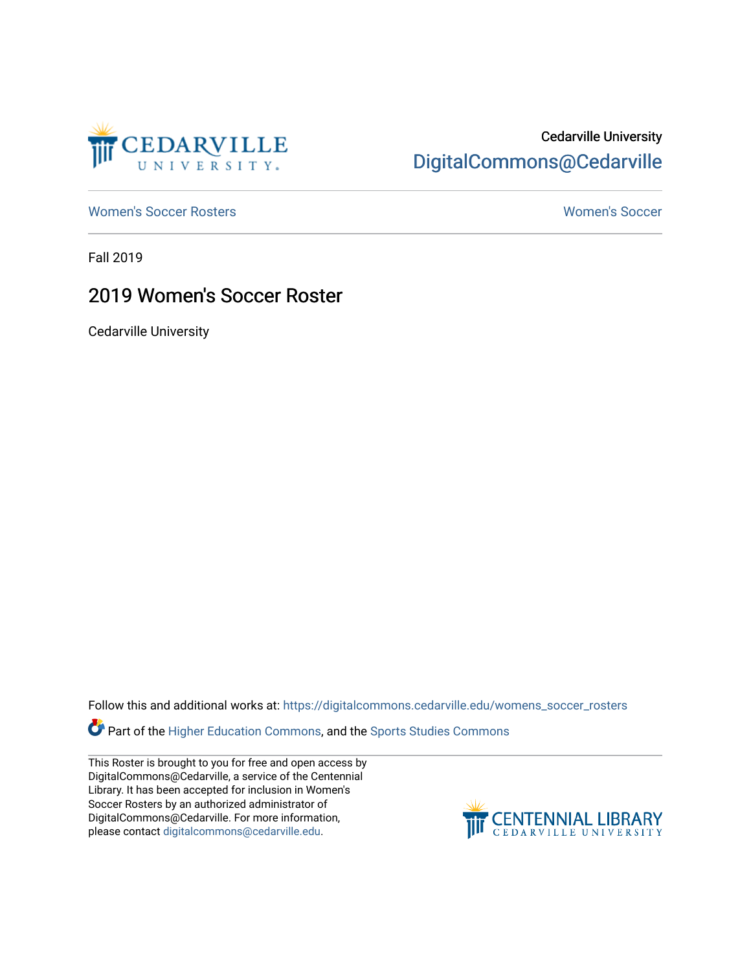

# Cedarville University [DigitalCommons@Cedarville](https://digitalcommons.cedarville.edu/)

[Women's Soccer Rosters](https://digitalcommons.cedarville.edu/womens_soccer_rosters) [Women's Soccer](https://digitalcommons.cedarville.edu/womens_soccer) 

Fall 2019

## 2019 Women's Soccer Roster

Cedarville University

Follow this and additional works at: [https://digitalcommons.cedarville.edu/womens\\_soccer\\_rosters](https://digitalcommons.cedarville.edu/womens_soccer_rosters?utm_source=digitalcommons.cedarville.edu%2Fwomens_soccer_rosters%2F73&utm_medium=PDF&utm_campaign=PDFCoverPages) 

Part of the [Higher Education Commons,](http://network.bepress.com/hgg/discipline/1245?utm_source=digitalcommons.cedarville.edu%2Fwomens_soccer_rosters%2F73&utm_medium=PDF&utm_campaign=PDFCoverPages) and the [Sports Studies Commons](http://network.bepress.com/hgg/discipline/1198?utm_source=digitalcommons.cedarville.edu%2Fwomens_soccer_rosters%2F73&utm_medium=PDF&utm_campaign=PDFCoverPages) 

This Roster is brought to you for free and open access by DigitalCommons@Cedarville, a service of the Centennial Library. It has been accepted for inclusion in Women's Soccer Rosters by an authorized administrator of DigitalCommons@Cedarville. For more information, please contact [digitalcommons@cedarville.edu](mailto:digitalcommons@cedarville.edu).

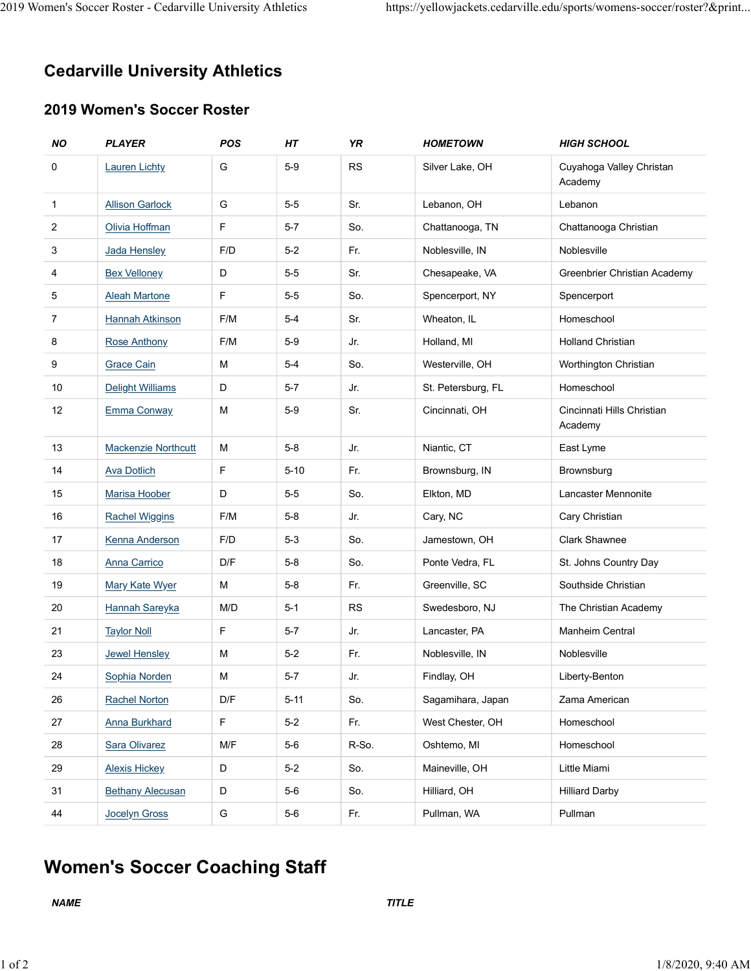# Cedarville University Athletics 2019 Women's Soccer Roster - Cedarville University Athletics https://yellowjackets.cedarville.edu/sports/womens-soccer/roster?&print...<br> **Cedarville University Athletics**

### 2019 Women's Soccer Roster

|                | omen's Soccer Roster - Cedarville University Athletics |            |          |           |                    |                                                                         |
|----------------|--------------------------------------------------------|------------|----------|-----------|--------------------|-------------------------------------------------------------------------|
|                |                                                        |            |          |           |                    |                                                                         |
|                |                                                        |            |          |           |                    |                                                                         |
|                |                                                        |            |          |           |                    | https://yellowjackets.cedarville.edu/sports/womens-soccer/roster?&print |
|                |                                                        |            |          |           |                    |                                                                         |
|                | <b>Cedarville University Athletics</b>                 |            |          |           |                    |                                                                         |
|                |                                                        |            |          |           |                    |                                                                         |
|                | 2019 Women's Soccer Roster                             |            |          |           |                    |                                                                         |
| <b>NO</b>      | <b>PLAYER</b>                                          | <b>POS</b> | HT       | <b>YR</b> | <b>HOMETOWN</b>    | <b>HIGH SCHOOL</b>                                                      |
| 0              | <b>Lauren Lichty</b>                                   | G          | $5-9$    | <b>RS</b> | Silver Lake, OH    | Cuyahoga Valley Christan<br>Academy                                     |
| $\mathbf{1}$   | <b>Allison Garlock</b>                                 | G          | $5-5$    | Sr.       | Lebanon, OH        | Lebanon                                                                 |
| $\overline{2}$ | Olivia Hoffman                                         | F          | $5 - 7$  | So.       | Chattanooga, TN    | Chattanooga Christian                                                   |
| 3              | Jada Hensley                                           | F/D        | $5-2$    | Fr.       | Noblesville, IN    | Noblesville                                                             |
| 4              | <b>Bex Velloney</b>                                    | D          | $5-5$    | Sr.       | Chesapeake, VA     | Greenbrier Christian Academy                                            |
| 5              | <b>Aleah Martone</b>                                   | F          | $5-5$    | So.       | Spencerport, NY    | Spencerport                                                             |
| $\overline{7}$ | <b>Hannah Atkinson</b>                                 | F/M        | $5-4$    | Sr.       | Wheaton, IL        | Homeschool                                                              |
| 8              | <b>Rose Anthony</b>                                    | F/M        | $5-9$    | Jr.       | Holland, MI        | <b>Holland Christian</b>                                                |
| 9              | <b>Grace Cain</b>                                      | M          | $5-4$    | So.       | Westerville, OH    | Worthington Christian                                                   |
| 10             | Delight Williams                                       | D          | $5-7$    | Jr.       | St. Petersburg, FL | Homeschool                                                              |
| 12             | Emma Conway                                            | ${\sf M}$  | $5-9$    | Sr.       | Cincinnati, OH     | Cincinnati Hills Christian<br>Academy                                   |
| 13             | Mackenzie Northcutt                                    | ${\sf M}$  | $5-8$    | Jr.       | Niantic, CT        | East Lyme                                                               |
| 14             | <b>Ava Dotlich</b>                                     | F          | $5 - 10$ | Fr.       | Brownsburg, IN     | Brownsburg                                                              |
| 15             | Marisa Hoober                                          | D          | $5-5$    | So.       | Elkton, MD         | Lancaster Mennonite                                                     |
| 16             | <b>Rachel Wiggins</b>                                  | F/M        | $5 - 8$  | Jr.       | Cary, NC           | Cary Christian                                                          |
| 17             | Kenna Anderson                                         | F/D        | $5 - 3$  | So.       | Jamestown, OH      | Clark Shawnee                                                           |
| 18             | <b>Anna Carrico</b>                                    | D/F        | $5 - 8$  | So.       | Ponte Vedra, FL    | St. Johns Country Day                                                   |
| 19             | <b>Mary Kate Wyer</b>                                  | M          | $5-8$    | Fr.       | Greenville, SC     | Southside Christian                                                     |
| $20\,$         | <b>Hannah Sareyka</b>                                  | M/D        | $5 - 1$  | RS        | Swedesboro, NJ     | The Christian Academy                                                   |
| 21             | <b>Taylor Noll</b>                                     | F          | $5-7$    | Jr.       | Lancaster, PA      | Manheim Central                                                         |
| 23             | <b>Jewel Hensley</b>                                   | M          | $5-2$    | Fr.       | Noblesville, IN    | Noblesville                                                             |
| 24             | Sophia Norden                                          | M          | $5 - 7$  | Jr.       | Findlay, OH        | Liberty-Benton                                                          |
| 26             | Rachel Norton                                          | D/F        | $5 - 11$ | So.       | Sagamihara, Japan  | Zama American                                                           |
| 27             | <b>Anna Burkhard</b>                                   | F          | $5-2$    | Fr.       | West Chester, OH   | Homeschool                                                              |
| 28             | Sara Olivarez                                          | M/F        | $5-6$    | R-So.     | Oshtemo, MI        | Homeschool                                                              |
| 29             | <b>Alexis Hickey</b>                                   | D          | $5 - 2$  | So.       | Maineville, OH     | Little Miami                                                            |
| 31             | <b>Bethany Alecusan</b>                                | D          | $5-6$    | So.       | Hilliard, OH       | <b>Hilliard Darby</b>                                                   |
| 44             | Jocelyn Gross                                          | G          | $5-6$    | Fr.       | Pullman, WA        | Pullman                                                                 |
|                |                                                        |            |          |           |                    |                                                                         |
|                | <b>Women's Soccer Coaching Staff</b>                   |            |          |           |                    |                                                                         |
|                |                                                        |            |          |           |                    |                                                                         |
| <b>NAME</b>    |                                                        |            |          |           | <b>TITLE</b>       |                                                                         |

# Women's Soccer Coaching Staff